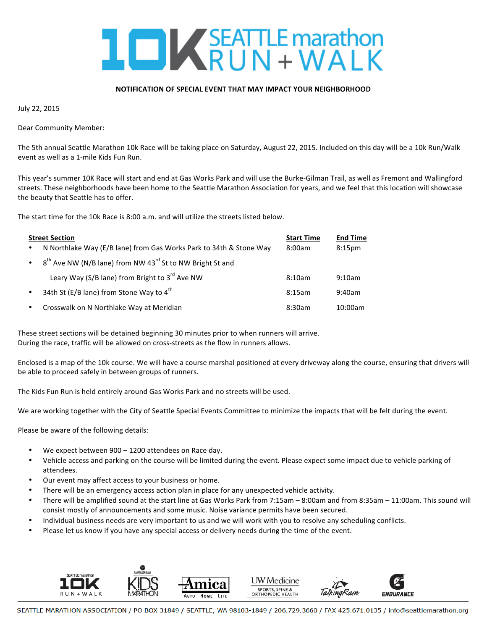

## **NOTIFICATION OF SPECIAL EVENT THAT MAY IMPACT YOUR NEIGHBORHOOD**

July 22, 2015

Dear Community Member:

The 5th annual Seattle Marathon 10k Race will be taking place on Saturday, August 22, 2015. Included on this day will be a 10k Run/Walk event as well as a 1-mile Kids Fun Run.

This year's summer 10K Race will start and end at Gas Works Park and will use the Burke-Gilman Trail, as well as Fremont and Wallingford streets. These neighborhoods have been home to the Seattle Marathon Association for years, and we feel that this location will showcase the beauty that Seattle has to offer.

The start time for the 10k Race is 8:00 a.m. and will utilize the streets listed below.

| <b>Street Section</b> |                                                                                   | <b>Start Time</b> | <b>End Time</b>    |
|-----------------------|-----------------------------------------------------------------------------------|-------------------|--------------------|
| $\bullet$             | N Northlake Way (E/B lane) from Gas Works Park to 34th & Stone Way                | 8:00am            | 8:15 <sub>pm</sub> |
| $\bullet$ .           | 8 <sup>th</sup> Ave NW (N/B lane) from NW 43 <sup>rd</sup> St to NW Bright St and |                   |                    |
|                       | Leary Way (S/B lane) from Bright to 3 <sup>rd</sup> Ave NW                        | 8:10am            | 9:10am             |
| $\bullet$             | 34th St (E/B lane) from Stone Way to 4 <sup>th</sup>                              | 8:15am            | 9:40am             |
| $\bullet$             | Crosswalk on N Northlake Way at Meridian                                          | 8:30am            | 10:00am            |

These street sections will be detained beginning 30 minutes prior to when runners will arrive. During the race, traffic will be allowed on cross-streets as the flow in runners allows.

Enclosed is a map of the 10k course. We will have a course marshal positioned at every driveway along the course, ensuring that drivers will be able to proceed safely in between groups of runners.

The Kids Fun Run is held entirely around Gas Works Park and no streets will be used.

We are working together with the City of Seattle Special Events Committee to minimize the impacts that will be felt during the event.

Please be aware of the following details:

- We expect between  $900 1200$  attendees on Race day.
- Vehicle access and parking on the course will be limited during the event. Please expect some impact due to vehicle parking of attendees.
- Our event may affect access to your business or home.
- There will be an emergency access action plan in place for any unexpected vehicle activity.
- There will be amplified sound at the start line at Gas Works Park from 7:15am 8:00am and from 8:35am 11:00am. This sound will consist mostly of announcements and some music. Noise variance permits have been secured.
- Individual business needs are very important to us and we will work with you to resolve any scheduling conflicts.
- Please let us know if you have any special access or delivery needs during the time of the event.



SEATTLE MARATHON ASSOCIATION / PO BOX 31849 / SEATTLE, WA 98103-1849 / 206.729.3660 / FAX 425.671.0135 / info@seattlemarathon.org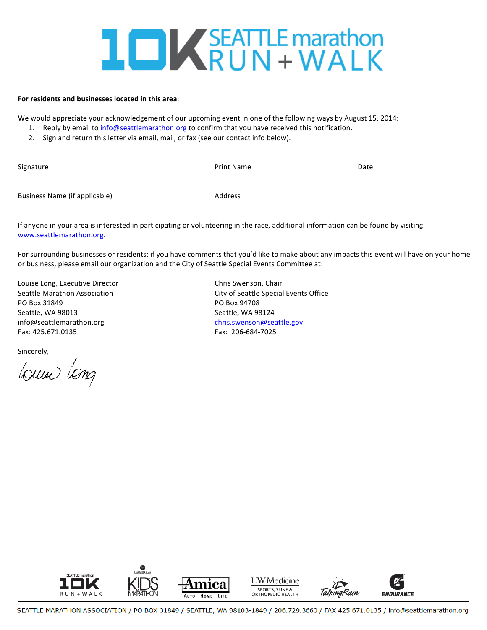## **IDK**SEATTLE marathon

## **For residents and businesses located in this area**:

We would appreciate your acknowledgement of our upcoming event in one of the following ways by August 15, 2014:

- 1. Reply by email to info@seattlemarathon.org to confirm that you have received this notification.
- 2. Sign and return this letter via email, mail, or fax (see our contact info below).

| Signature                     | <b>Print Name</b> | Date |
|-------------------------------|-------------------|------|
|                               |                   |      |
| Business Name (if applicable) | Address           |      |

If anyone in your area is interested in participating or volunteering in the race, additional information can be found by visiting www.seattlemarathon.org. 

For surrounding businesses or residents: if you have comments that you'd like to make about any impacts this event will have on your home or business, please email our organization and the City of Seattle Special Events Committee at:

Louise Long, Executive Director **Chris** Chris Swenson, Chair PO Box 31849 **PO Box 94708** Seattle, WA 98013 Seattle, WA 98124 info@seattlemarathon.org chris.swenson@seattle.gov Fax: 425.671.0135 Fax: 206-684-7025

Sincerely,

Louse Long

Seattle Marathon Association **Communisty City of Seattle Special Events Office**